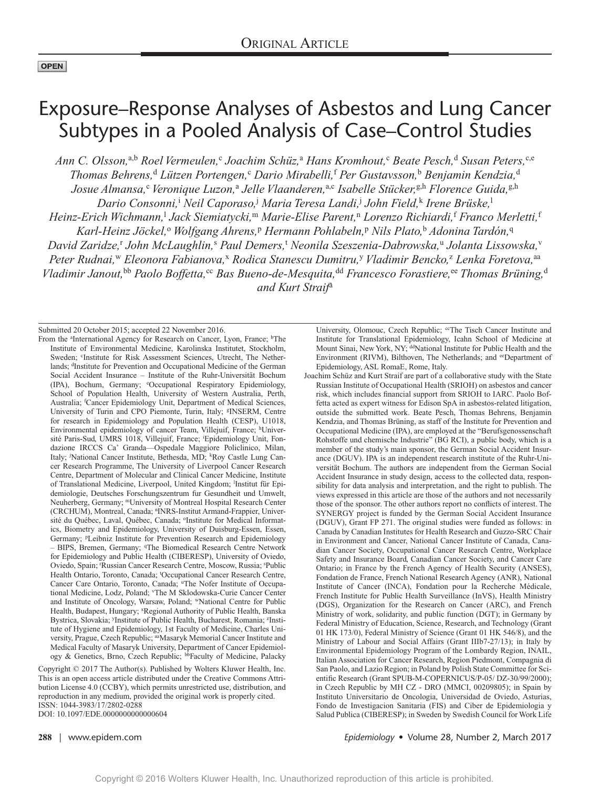# Exposure–Response Analyses of Asbestos and Lung Cancer Subtypes in a Pooled Analysis of Case–Control Studies

*Ann C. Olsson,*a,b *Roel Vermeulen,*<sup>c</sup>  *Joachim Schüz,*<sup>a</sup>  *Hans Kromhout,*<sup>c</sup>  *Beate Pesch,*<sup>d</sup>  *Susan Peters,*c,e *Thomas Behrens,*<sup>d</sup>  *Lützen Portengen,*<sup>c</sup>  *Dario Mirabelli,*<sup>f</sup>  *Per Gustavsson,*<sup>b</sup>  *Benjamin Kendzia,*<sup>d</sup> *Josue Almansa,*<sup>c</sup>  *Veronique Luzon,*<sup>a</sup>  *Jelle Vlaanderen,*a,c *Isabelle Stücker,*g,h *Florence Guida,*g,h *Dario Consonni,*<sup>i</sup>  *Neil Caporaso,*<sup>j</sup>  *Maria Teresa Landi,*<sup>j</sup>  *John Field,*<sup>k</sup>  *Irene Brüske,*<sup>l</sup> *Heinz-Erich Wichmann,*<sup>l</sup>  *Jack Siemiatycki,*<sup>m</sup> *Marie-Elise Parent,*<sup>n</sup>  *Lorenzo Richiardi,*<sup>f</sup>  *Franco Merletti,*<sup>f</sup> *Karl-Heinz Jöckel,*<sup>o</sup>  *Wolfgang Ahrens,*<sup>p</sup>  *Hermann Pohlabeln,*<sup>p</sup>  *Nils Plato,*<sup>b</sup>  *Adonina Tardón,*<sup>q</sup> *David Zaridze,*<sup>r</sup>  *John McLaughlin,*<sup>s</sup>  *Paul Demers,*<sup>t</sup>  *Neonila Szeszenia-Dabrowska,*<sup>u</sup>  *Jolanta Lissowska,*<sup>v</sup> Peter Rudnai,<sup>w</sup> Eleonora Fabianova,<sup>x</sup> Rodica Stanescu Dumitru,<sup>y</sup> Vladimir Bencko,<sup>z</sup> Lenka Foretova,<sup>aa</sup> *Vladimir Janout*,<sup>bb</sup> Paolo Boffetta,<sup>cc</sup> Bas Bueno-de-Mesquita,<sup>dd</sup> Francesco Forastiere,<sup>ee</sup> Thomas Brüning,<sup>d</sup> *and Kurt Straif*a

Submitted 20 October 2015; accepted 22 November 2016.

From the <sup>a</sup>International Agency for Research on Cancer, Lyon, France; <sup>b</sup>The Institute of Environmental Medicine, Karolinska Institutet, Stockholm, Sweden; <sup>c</sup>Institute for Risk Assessment Sciences, Utrecht, The Netherlands; dInstitute for Prevention and Occupational Medicine of the German Social Accident Insurance – Institute of the Ruhr-Universität Bochum (IPA), Bochum, Germany; e Occupational Respiratory Epidemiology, School of Population Health, University of Western Australia, Perth, Australia; f Cancer Epidemiology Unit, Department of Medical Sciences, University of Turin and CPO Piemonte, Turin, Italy; <sup>g</sup>INSERM, Centre for research in Epidemiology and Population Health (CESP), U1018, Environmental epidemiology of cancer Team, Villejuif, France; hUniversité Paris-Sud, UMRS 1018, Villejuif, France; iEpidemiology Unit, Fondazione IRCCS Ca' Granda—Ospedale Maggiore Policlinico, Milan, Italy; National Cancer Institute, Bethesda, MD; <sup>k</sup>Roy Castle Lung Cancer Research Programme, The University of Liverpool Cancer Research Centre, Department of Molecular and Clinical Cancer Medicine, Institute of Translational Medicine, Liverpool, United Kingdom; <sup>1</sup>Institut für Epidemiologie, Deutsches Forschungszentrum fur Gesundheit und Umwelt, Neuherberg, Germany; mUniversity of Montreal Hospital Research Center (CRCHUM), Montreal, Canada; <sup>n</sup>INRS-Institut Armand-Frappier, Université du Québec, Laval, Québec, Canada; <sup>o</sup>Institute for Medical Informatics, Biometry and Epidemiology, University of Duisburg-Essen, Essen, Germany; <sup>p</sup>Leibniz Institute for Prevention Research and Epidemiology - BIPS, Bremen, Germany; <sup>q</sup>The Biomedical Research Centre Network for Epidemiology and Public Health (CIBERESP), University of Oviedo, Oviedo, Spain; 'Russian Cancer Research Centre, Moscow, Russia; 'Public Health Ontario, Toronto, Canada; 'Occupational Cancer Research Centre, Cancer Care Ontario, Toronto, Canada; "The Nofer Institute of Occupational Medicine, Lodz, Poland; v The M Sklodowska-Curie Cancer Center and Institute of Oncology, Warsaw, Poland; wNational Centre for Public Health, Budapest, Hungary; <sup>x</sup>Regional Authority of Public Health, Banska Bystrica, Slovakia; <sup>y</sup>Institute of Public Health, Bucharest, Romania; <sup>z</sup>Institute of Hygiene and Epidemiology, 1st Faculty of Medicine, Charles University, Prague, Czech Republic; aaMasaryk Memorial Cancer Institute and Medical Faculty of Masaryk University, Department of Cancer Epidemiology & Genetics, Brno, Czech Republic; bbFaculty of Medicine, Palacky

Copyright © 2017 The Author(s). Published by Wolters Kluwer Health, Inc. This is an open access article distributed under the [Creative Commons Attri](http://creativecommons.org/licenses/by/4.0/)[bution License 4.0 \(CCBY\)](http://creativecommons.org/licenses/by/4.0/), which permits unrestricted use, distribution, and reproduction in any medium, provided the original work is properly cited. ISSN: 1044-3983/17/2802-0288 DOI: 10.1097/EDE.0000000000000604

University, Olomouc, Czech Republic; <sup>cc</sup>The Tisch Cancer Institute and Institute for Translational Epidemiology, Icahn School of Medicine at Mount Sinai, New York, NY; ddNational Institute for Public Health and the Environment (RIVM), Bilthoven, The Netherlands; and eeDepartment of Epidemiology, ASL RomaE, Rome, Italy.

Joachim Schüz and Kurt Straif are part of a collaborative study with the State Russian Institute of Occupational Health (SRIOH) on asbestos and cancer risk, which includes financial support from SRIOH to IARC. Paolo Boffetta acted as expert witness for Edison SpA in asbestos-related litigation, outside the submitted work. Beate Pesch, Thomas Behrens, Benjamin Kendzia, and Thomas Brüning, as staff of the Institute for Prevention and Occupational Medicine (IPA), are employed at the "Berufsgenossenschaft Rohstoffe und chemische Industrie" (BG RCI), a public body, which is a member of the study's main sponsor, the German Social Accident Insurance (DGUV). IPA is an independent research institute of the Ruhr-Universität Bochum. The authors are independent from the German Social Accident Insurance in study design, access to the collected data, responsibility for data analysis and interpretation, and the right to publish. The views expressed in this article are those of the authors and not necessarily those of the sponsor. The other authors report no conflicts of interest. The SYNERGY project is funded by the German Social Accident Insurance (DGUV), Grant FP 271. The original studies were funded as follows: in Canada by Canadian Institutes for Health Research and Guzzo-SRC Chair in Environment and Cancer, National Cancer Institute of Canada, Canadian Cancer Society, Occupational Cancer Research Centre, Workplace Safety and Insurance Board, Canadian Cancer Society, and Cancer Care Ontario; in France by the French Agency of Health Security (ANSES), Fondation de France, French National Research Agency (ANR), National Institute of Cancer (INCA), Fondation pour la Recherche Médicale, French Institute for Public Health Surveillance (InVS), Health Ministry (DGS), Organization for the Research on Cancer (ARC), and French Ministry of work, solidarity, and public function (DGT); in Germany by Federal Ministry of Education, Science, Research, and Technology (Grant 01 HK 173/0), Federal Ministry of Science (Grant 01 HK 546/8), and the Ministry of Labour and Social Affairs (Grant IIIb7-27/13); in Italy by Environmental Epidemiology Program of the Lombardy Region, INAIL, Italian Association for Cancer Research, Region Piedmont, Compagnia di San Paolo, and Lazio Region; in Poland by Polish State Committee for Scientific Research (Grant SPUB-M-COPERNICUS/P-05/ DZ-30/99/2000); in Czech Republic by MH CZ - DRO (MMCI, 00209805); in Spain by Instituto Universitario de Oncologia, Universidad de Oviedo, Asturias, Fondo de Investigacion Sanitaria (FIS) and Ciber de Epidemiologia y Salud Publica (CIBERESP); in Sweden by Swedish Council for Work Life

**288** | www.epidem.com *Epidemiology* • Volume 28, Number 2, March 2017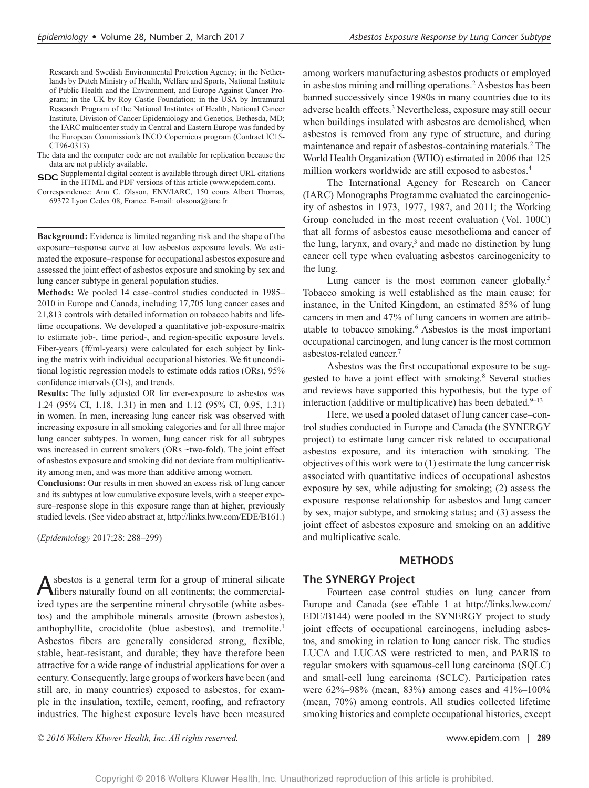Research and Swedish Environmental Protection Agency; in the Netherlands by Dutch Ministry of Health, Welfare and Sports, National Institute of Public Health and the Environment, and Europe Against Cancer Program; in the UK by Roy Castle Foundation; in the USA by Intramural Research Program of the National Institutes of Health, National Cancer Institute, Division of Cancer Epidemiology and Genetics, Bethesda, MD; the IARC multicenter study in Central and Eastern Europe was funded by the European Commission's INCO Copernicus program (Contract IC15- CT96-0313).

The data and the computer code are not available for replication because the data are not publicly available.

**SDC** Supplemental digital content is available through direct URL citations in the HTML and PDF versions of this article [\(www.epidem.com\)](www.epidem.com).

Correspondence: Ann C. Olsson, ENV/IARC, 150 cours Albert Thomas, 69372 Lyon Cedex 08, France. E-mail: [olssona@iarc.fr.](mailto:olssona@iarc.fr)

**Background:** Evidence is limited regarding risk and the shape of the exposure–response curve at low asbestos exposure levels. We estimated the exposure–response for occupational asbestos exposure and assessed the joint effect of asbestos exposure and smoking by sex and lung cancer subtype in general population studies.

**Methods:** We pooled 14 case–control studies conducted in 1985– 2010 in Europe and Canada, including 17,705 lung cancer cases and 21,813 controls with detailed information on tobacco habits and lifetime occupations. We developed a quantitative job-exposure-matrix to estimate job-, time period-, and region-specific exposure levels. Fiber-years (ff/ml-years) were calculated for each subject by linking the matrix with individual occupational histories. We fit unconditional logistic regression models to estimate odds ratios (ORs), 95% confidence intervals (CIs), and trends.

**Results:** The fully adjusted OR for ever-exposure to asbestos was 1.24 (95% CI, 1.18, 1.31) in men and 1.12 (95% CI, 0.95, 1.31) in women. In men, increasing lung cancer risk was observed with increasing exposure in all smoking categories and for all three major lung cancer subtypes. In women, lung cancer risk for all subtypes was increased in current smokers (ORs ~two-fold). The joint effect of asbestos exposure and smoking did not deviate from multiplicativity among men, and was more than additive among women.

**Conclusions:** Our results in men showed an excess risk of lung cancer and its subtypes at low cumulative exposure levels, with a steeper exposure–response slope in this exposure range than at higher, previously studied levels. (See video abstract at, [http://links.lww.com/EDE/B161.](http://links.lww.com/EDE/B161))

(*Epidemiology* 2017;28: 288–299)

Asbestos is a general term for a group of mineral silicate fibers naturally found on all continents; the commercialized types are the serpentine mineral chrysotile (white asbestos) and the amphibole minerals amosite (brown asbestos), anthophyllite, crocidolite (blue asbestos), and tremolite.<sup>1</sup> Asbestos fibers are generally considered strong, flexible, stable, heat-resistant, and durable; they have therefore been attractive for a wide range of industrial applications for over a century. Consequently, large groups of workers have been (and still are, in many countries) exposed to asbestos, for example in the insulation, textile, cement, roofing, and refractory industries. The highest exposure levels have been measured

among workers manufacturing asbestos products or employed in asbestos mining and milling operations.<sup>2</sup> Asbestos has been banned successively since 1980s in many countries due to its adverse health effects.<sup>3</sup> Nevertheless, exposure may still occur when buildings insulated with asbestos are demolished, when asbestos is removed from any type of structure, and during maintenance and repair of asbestos-containing materials.<sup>2</sup> The World Health Organization (WHO) estimated in 2006 that 125 million workers worldwide are still exposed to asbestos.<sup>4</sup>

The International Agency for Research on Cancer (IARC) Monographs Programme evaluated the carcinogenicity of asbestos in 1973, 1977, 1987, and 2011; the Working Group concluded in the most recent evaluation (Vol. 100C) that all forms of asbestos cause mesothelioma and cancer of the lung, larynx, and ovary, $3$  and made no distinction by lung cancer cell type when evaluating asbestos carcinogenicity to the lung.

Lung cancer is the most common cancer globally. $5$ Tobacco smoking is well established as the main cause; for instance, in the United Kingdom, an estimated 85% of lung cancers in men and 47% of lung cancers in women are attributable to tobacco smoking.6 Asbestos is the most important occupational carcinogen, and lung cancer is the most common asbestos-related cancer.7

Asbestos was the first occupational exposure to be suggested to have a joint effect with smoking.<sup>8</sup> Several studies and reviews have supported this hypothesis, but the type of interaction (additive or multiplicative) has been debated. $9-13$ 

Here, we used a pooled dataset of lung cancer case–control studies conducted in Europe and Canada (the SYNERGY project) to estimate lung cancer risk related to occupational asbestos exposure, and its interaction with smoking. The objectives of this work were to (1) estimate the lung cancer risk associated with quantitative indices of occupational asbestos exposure by sex, while adjusting for smoking; (2) assess the exposure–response relationship for asbestos and lung cancer by sex, major subtype, and smoking status; and (3) assess the joint effect of asbestos exposure and smoking on an additive and multiplicative scale.

#### **METHODS**

## **The SYNERGY Project**

Fourteen case–control studies on lung cancer from Europe and Canada (see eTable 1 at [http://links.lww.com/](http://links.lww.com/EDE/B144) [EDE/B144\)](http://links.lww.com/EDE/B144) were pooled in the SYNERGY project to study joint effects of occupational carcinogens, including asbestos, and smoking in relation to lung cancer risk. The studies LUCA and LUCAS were restricted to men, and PARIS to regular smokers with squamous-cell lung carcinoma (SQLC) and small-cell lung carcinoma (SCLC). Participation rates were 62%–98% (mean, 83%) among cases and 41%–100% (mean, 70%) among controls. All studies collected lifetime smoking histories and complete occupational histories, except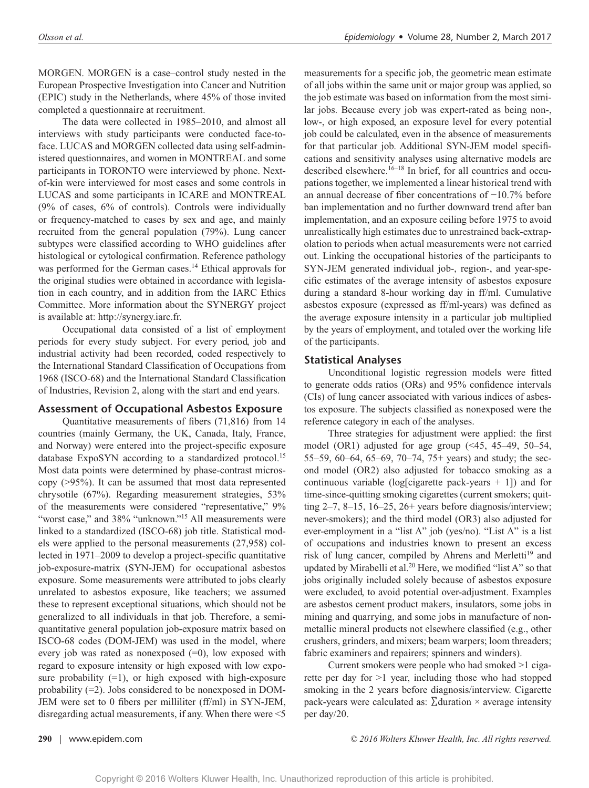MORGEN. MORGEN is a case–control study nested in the European Prospective Investigation into Cancer and Nutrition (EPIC) study in the Netherlands, where 45% of those invited completed a questionnaire at recruitment.

The data were collected in 1985–2010, and almost all interviews with study participants were conducted face-toface. LUCAS and MORGEN collected data using self-administered questionnaires, and women in MONTREAL and some participants in TORONTO were interviewed by phone. Nextof-kin were interviewed for most cases and some controls in LUCAS and some participants in ICARE and MONTREAL (9% of cases, 6% of controls). Controls were individually or frequency-matched to cases by sex and age, and mainly recruited from the general population (79%). Lung cancer subtypes were classified according to WHO guidelines after histological or cytological confirmation. Reference pathology was performed for the German cases.<sup>14</sup> Ethical approvals for the original studies were obtained in accordance with legislation in each country, and in addition from the IARC Ethics Committee. More information about the SYNERGY project is available at:<http://synergy.iarc.fr>.

Occupational data consisted of a list of employment periods for every study subject. For every period, job and industrial activity had been recorded, coded respectively to the International Standard Classification of Occupations from 1968 (ISCO-68) and the International Standard Classification of Industries, Revision 2, along with the start and end years.

### **Assessment of Occupational Asbestos Exposure**

Quantitative measurements of fibers (71,816) from 14 countries (mainly Germany, the UK, Canada, Italy, France, and Norway) were entered into the project-specific exposure database ExpoSYN according to a standardized protocol.<sup>15</sup> Most data points were determined by phase-contrast microscopy (>95%). It can be assumed that most data represented chrysotile (67%). Regarding measurement strategies, 53% of the measurements were considered "representative," 9% "worst case," and 38% "unknown."<sup>15</sup> All measurements were linked to a standardized (ISCO-68) job title. Statistical models were applied to the personal measurements (27,958) collected in 1971–2009 to develop a project-specific quantitative job-exposure-matrix (SYN-JEM) for occupational asbestos exposure. Some measurements were attributed to jobs clearly unrelated to asbestos exposure, like teachers; we assumed these to represent exceptional situations, which should not be generalized to all individuals in that job. Therefore, a semiquantitative general population job-exposure matrix based on ISCO-68 codes (DOM-JEM) was used in the model, where every job was rated as nonexposed  $(=0)$ , low exposed with regard to exposure intensity or high exposed with low exposure probability  $(=1)$ , or high exposed with high-exposure probability (=2). Jobs considered to be nonexposed in DOM-JEM were set to 0 fibers per milliliter (ff/ml) in SYN-JEM, disregarding actual measurements, if any. When there were <5

measurements for a specific job, the geometric mean estimate of all jobs within the same unit or major group was applied, so the job estimate was based on information from the most similar jobs. Because every job was expert-rated as being non-, low-, or high exposed, an exposure level for every potential job could be calculated, even in the absence of measurements for that particular job. Additional SYN-JEM model specifications and sensitivity analyses using alternative models are described elsewhere. $16-18$  In brief, for all countries and occupations together, we implemented a linear historical trend with an annual decrease of fiber concentrations of −10.7% before ban implementation and no further downward trend after ban implementation, and an exposure ceiling before 1975 to avoid unrealistically high estimates due to unrestrained back-extrapolation to periods when actual measurements were not carried out. Linking the occupational histories of the participants to SYN-JEM generated individual job-, region-, and year-specific estimates of the average intensity of asbestos exposure during a standard 8-hour working day in ff/ml. Cumulative asbestos exposure (expressed as ff/ml-years) was defined as the average exposure intensity in a particular job multiplied by the years of employment, and totaled over the working life of the participants.

# **Statistical Analyses**

Unconditional logistic regression models were fitted to generate odds ratios (ORs) and 95% confidence intervals (CIs) of lung cancer associated with various indices of asbestos exposure. The subjects classified as nonexposed were the reference category in each of the analyses.

Three strategies for adjustment were applied: the first model (OR1) adjusted for age group (<45, 45–49, 50–54, 55–59, 60–64, 65–69, 70–74, 75+ years) and study; the second model (OR2) also adjusted for tobacco smoking as a continuous variable (log[cigarette pack-years  $+1$ ]) and for time-since-quitting smoking cigarettes (current smokers; quitting 2–7, 8–15, 16–25, 26+ years before diagnosis/interview; never-smokers); and the third model (OR3) also adjusted for ever-employment in a "list A" job (yes/no). "List A" is a list of occupations and industries known to present an excess risk of lung cancer, compiled by Ahrens and Merletti<sup>19</sup> and updated by Mirabelli et al.<sup>20</sup> Here, we modified "list A" so that jobs originally included solely because of asbestos exposure were excluded, to avoid potential over-adjustment. Examples are asbestos cement product makers, insulators, some jobs in mining and quarrying, and some jobs in manufacture of nonmetallic mineral products not elsewhere classified (e.g., other crushers, grinders, and mixers; beam warpers; loom threaders; fabric examiners and repairers; spinners and winders).

Current smokers were people who had smoked >1 cigarette per day for >1 year, including those who had stopped smoking in the 2 years before diagnosis/interview. Cigarette pack-years were calculated as:  $\sum$  duration  $\times$  average intensity per day/20.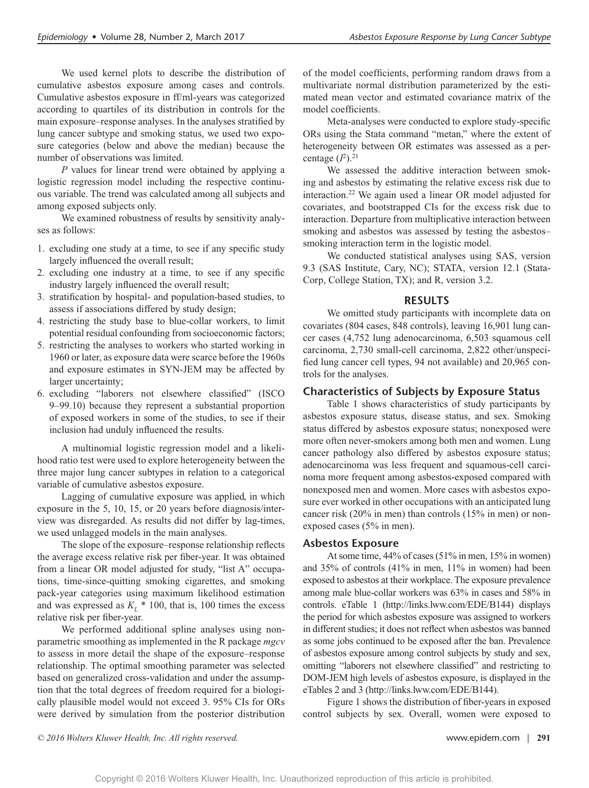We used kernel plots to describe the distribution of cumulative asbestos exposure among cases and controls. Cumulative asbestos exposure in ff/ml-years was categorized according to quartiles of its distribution in controls for the main exposure–response analyses. In the analyses stratified by lung cancer subtype and smoking status, we used two exposure categories (below and above the median) because the number of observations was limited.

*P* values for linear trend were obtained by applying a logistic regression model including the respective continuous variable. The trend was calculated among all subjects and among exposed subjects only.

We examined robustness of results by sensitivity analyses as follows:

- 1. excluding one study at a time, to see if any specific study largely influenced the overall result;
- 2. excluding one industry at a time, to see if any specific industry largely influenced the overall result;
- 3. stratification by hospital- and population-based studies, to assess if associations differed by study design;
- 4. restricting the study base to blue-collar workers, to limit potential residual confounding from socioeconomic factors;
- 5. restricting the analyses to workers who started working in 1960 or later, as exposure data were scarce before the 1960s and exposure estimates in SYN-JEM may be affected by larger uncertainty;
- 6. excluding "laborers not elsewhere classified" (ISCO 9–99.10) because they represent a substantial proportion of exposed workers in some of the studies, to see if their inclusion had unduly influenced the results.

A multinomial logistic regression model and a likelihood ratio test were used to explore heterogeneity between the three major lung cancer subtypes in relation to a categorical variable of cumulative asbestos exposure.

Lagging of cumulative exposure was applied, in which exposure in the 5, 10, 15, or 20 years before diagnosis/interview was disregarded. As results did not differ by lag-times, we used unlagged models in the main analyses.

The slope of the exposure–response relationship reflects the average excess relative risk per fiber-year. It was obtained from a linear OR model adjusted for study, "list A" occupations, time-since-quitting smoking cigarettes, and smoking pack-year categories using maximum likelihood estimation and was expressed as  $K_L$  \* 100, that is, 100 times the excess relative risk per fiber-year.

We performed additional spline analyses using nonparametric smoothing as implemented in the R package *mgcv* to assess in more detail the shape of the exposure–response relationship. The optimal smoothing parameter was selected based on generalized cross-validation and under the assumption that the total degrees of freedom required for a biologically plausible model would not exceed 3. 95% CIs for ORs were derived by simulation from the posterior distribution of the model coefficients, performing random draws from a multivariate normal distribution parameterized by the estimated mean vector and estimated covariance matrix of the model coefficients.

Meta-analyses were conducted to explore study-specific ORs using the Stata command "metan," where the extent of heterogeneity between OR estimates was assessed as a percentage  $(I^2)$ .<sup>21</sup>

We assessed the additive interaction between smoking and asbestos by estimating the relative excess risk due to interaction.22 We again used a linear OR model adjusted for covariates, and bootstrapped CIs for the excess risk due to interaction. Departure from multiplicative interaction between smoking and asbestos was assessed by testing the asbestos– smoking interaction term in the logistic model.

We conducted statistical analyses using SAS, version 9.3 (SAS Institute, Cary, NC); STATA, version 12.1 (Stata-Corp, College Station, TX); and R, version 3.2.

#### **RESULTS**

We omitted study participants with incomplete data on covariates (804 cases, 848 controls), leaving 16,901 lung cancer cases (4,752 lung adenocarcinoma, 6,503 squamous cell carcinoma, 2,730 small-cell carcinoma, 2,822 other/unspecified lung cancer cell types, 94 not available) and 20,965 controls for the analyses.

#### **Characteristics of Subjects by Exposure Status**

Table 1 shows characteristics of study participants by asbestos exposure status, disease status, and sex. Smoking status differed by asbestos exposure status; nonexposed were more often never-smokers among both men and women. Lung cancer pathology also differed by asbestos exposure status; adenocarcinoma was less frequent and squamous-cell carcinoma more frequent among asbestos-exposed compared with nonexposed men and women. More cases with asbestos exposure ever worked in other occupations with an anticipated lung cancer risk (20% in men) than controls (15% in men) or nonexposed cases (5% in men).

#### **Asbestos Exposure**

At some time, 44% of cases (51% in men, 15% in women) and 35% of controls (41% in men, 11% in women) had been exposed to asbestos at their workplace. The exposure prevalence among male blue-collar workers was 63% in cases and 58% in controls. eTable 1 [\(http://links.lww.com/EDE/B144](http://links.lww.com/EDE/B144)) displays the period for which asbestos exposure was assigned to workers in different studies; it does not reflect when asbestos was banned as some jobs continued to be exposed after the ban. Prevalence of asbestos exposure among control subjects by study and sex, omitting "laborers not elsewhere classified" and restricting to DOM-JEM high levels of asbestos exposure, is displayed in the eTables 2 and 3 [\(http://links.lww.com/EDE/B144](http://links.lww.com/EDE/B144)).

Figure 1 shows the distribution of fiber-years in exposed control subjects by sex. Overall, women were exposed to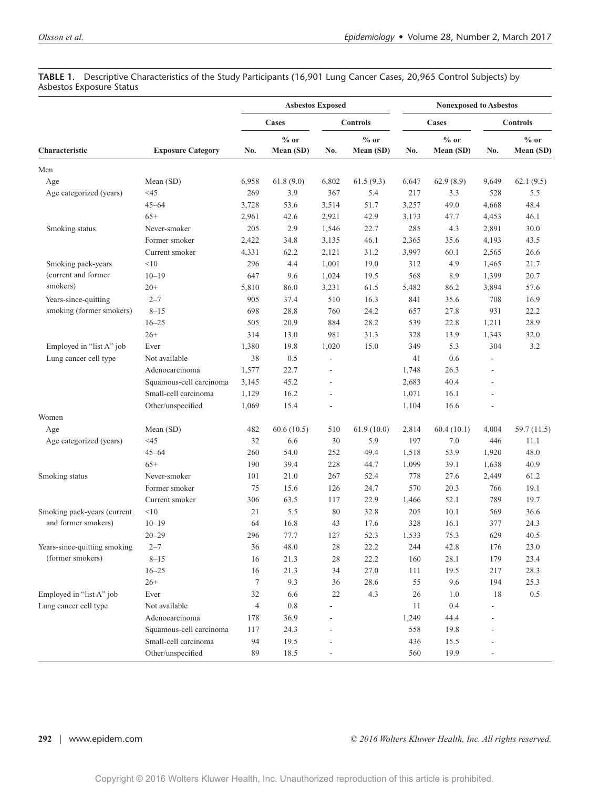#### **TABLE 1.** Descriptive Characteristics of the Study Participants (16,901 Lung Cancer Cases, 20,965 Control Subjects) by Asbestos Exposure Status

|                              |                          |                | <b>Asbestos Exposed</b> |                 |                     | <b>Nonexposed to Asbestos</b> |                     |                 |                     |  |
|------------------------------|--------------------------|----------------|-------------------------|-----------------|---------------------|-------------------------------|---------------------|-----------------|---------------------|--|
|                              |                          | Cases          |                         | <b>Controls</b> |                     | Cases                         |                     | <b>Controls</b> |                     |  |
| Characteristic               | <b>Exposure Category</b> | No.            | $%$ or<br>Mean (SD)     | No.             | $%$ or<br>Mean (SD) | No.                           | $%$ or<br>Mean (SD) | No.             | $%$ or<br>Mean (SD) |  |
| Men                          |                          |                |                         |                 |                     |                               |                     |                 |                     |  |
| Age                          | Mean (SD)                | 6,958          | 61.8(9.0)               | 6,802           | 61.5(9.3)           | 6,647                         | 62.9(8.9)           | 9,649           | 62.1(9.5)           |  |
| Age categorized (years)      | $<$ 45                   | 269            | 3.9                     | 367             | 5.4                 | 217                           | 3.3                 | 528             | 5.5                 |  |
|                              | $45 - 64$                | 3,728          | 53.6                    | 3,514           | 51.7                | 3,257                         | 49.0                | 4,668           | 48.4                |  |
|                              | $65+$                    | 2,961          | 42.6                    | 2,921           | 42.9                | 3,173                         | 47.7                | 4,453           | 46.1                |  |
| Smoking status               | Never-smoker             | 205            | 2.9                     | 1,546           | 22.7                | 285                           | 4.3                 | 2,891           | 30.0                |  |
|                              | Former smoker            | 2,422          | 34.8                    | 3,135           | 46.1                | 2,365                         | 35.6                | 4,193           | 43.5                |  |
|                              | Current smoker           | 4,331          | 62.2                    | 2,121           | 31.2                | 3,997                         | 60.1                | 2,565           | 26.6                |  |
| Smoking pack-years           | <10                      | 296            | 4.4                     | 1,001           | 19.0                | 312                           | 4.9                 | 1,465           | 21.7                |  |
| (current and former          | $10 - 19$                | 647            | 9.6                     | 1,024           | 19.5                | 568                           | 8.9                 | 1,399           | 20.7                |  |
| smokers)                     | $20+$                    | 5,810          | 86.0                    | 3,231           | 61.5                | 5,482                         | 86.2                | 3,894           | 57.6                |  |
| Years-since-quitting         | $2 - 7$                  | 905            | 37.4                    | 510             | 16.3                | 841                           | 35.6                | 708             | 16.9                |  |
| smoking (former smokers)     | $8 - 15$                 | 698            | 28.8                    | 760             | 24.2                | 657                           | 27.8                | 931             | 22.2                |  |
|                              | $16 - 25$                | 505            | 20.9                    | 884             | 28.2                | 539                           | 22.8                | 1,211           | 28.9                |  |
|                              | $26+$                    | 314            | 13.0                    | 981             | 31.3                | 328                           | 13.9                | 1,343           | 32.0                |  |
| Employed in "list A" job     | Ever                     | 1,380          | 19.8                    | 1,020           | 15.0                | 349                           | 5.3                 | 304             | 3.2                 |  |
| Lung cancer cell type        | Not available            | 38             | 0.5                     | ÷,              |                     | 41                            | 0.6                 |                 |                     |  |
|                              | Adenocarcinoma           | 1,577          | 22.7                    |                 |                     | 1,748                         | 26.3                |                 |                     |  |
|                              | Squamous-cell carcinoma  | 3,145          | 45.2                    |                 |                     | 2,683                         | 40.4                |                 |                     |  |
|                              | Small-cell carcinoma     | 1,129          | 16.2                    |                 |                     | 1,071                         | 16.1                |                 |                     |  |
|                              | Other/unspecified        | 1,069          | 15.4                    | $\overline{a}$  |                     | 1,104                         | 16.6                |                 |                     |  |
| Women                        |                          |                |                         |                 |                     |                               |                     |                 |                     |  |
| Age                          | Mean (SD)                | 482            | 60.6(10.5)              | 510             | 61.9(10.0)          | 2,814                         | 60.4(10.1)          | 4,004           | 59.7 (11.5)         |  |
| Age categorized (years)      | $<$ 45                   | 32             | 6.6                     | 30              | 5.9                 | 197                           | 7.0                 | 446             | 11.1                |  |
|                              | $45 - 64$                | 260            | 54.0                    | 252             | 49.4                | 1,518                         | 53.9                | 1,920           | 48.0                |  |
|                              | $65+$                    | 190            | 39.4                    | 228             | 44.7                | 1,099                         | 39.1                | 1,638           | 40.9                |  |
| Smoking status               | Never-smoker             | 101            | 21.0                    | 267             | 52.4                | 778                           | 27.6                | 2,449           | 61.2                |  |
|                              | Former smoker            | 75             | 15.6                    | 126             | 24.7                | 570                           | 20.3                | 766             | 19.1                |  |
|                              | Current smoker           | 306            | 63.5                    | 117             | 22.9                | 1,466                         | 52.1                | 789             | 19.7                |  |
| Smoking pack-years (current  | <10                      | 21             | 5.5                     | 80              | 32.8                | 205                           | 10.1                | 569             | 36.6                |  |
| and former smokers)          | $10 - 19$                | 64             | 16.8                    | 43              | 17.6                | 328                           | 16.1                | 377             | 24.3                |  |
|                              | $20 - 29$                | 296            | 77.7                    | 127             | 52.3                | 1,533                         | 75.3                | 629             | 40.5                |  |
| Years-since-quitting smoking | $2 - 7$                  | 36             | 48.0                    | $28\,$          | 22.2                | 244                           | 42.8                | 176             | 23.0                |  |
| (former smokers)             | $8 - 15$                 | 16             | 21.3                    | $28\,$          | 22.2                | 160                           | 28.1                | 179             | 23.4                |  |
|                              | $16 - 25$                | 16             | 21.3                    | 34              | 27.0                | 111                           | 19.5                | 217             | 28.3                |  |
|                              | $26+$                    | 7              | 9.3                     | 36              | 28.6                | 55                            | 9.6                 | 194             | 25.3                |  |
| Employed in "list A" job     | Ever                     | 32             | 6.6                     | 22              | 4.3                 | 26                            | 1.0                 | 18              | 0.5                 |  |
| Lung cancer cell type        | Not available            | $\overline{4}$ | 0.8                     |                 |                     | 11                            | 0.4                 |                 |                     |  |
|                              | Adenocarcinoma           | 178            | 36.9                    |                 |                     | 1,249                         | 44.4                |                 |                     |  |
|                              | Squamous-cell carcinoma  | 117            | 24.3                    |                 |                     | 558                           | 19.8                |                 |                     |  |
|                              | Small-cell carcinoma     | 94             | 19.5                    |                 |                     | 436                           | 15.5                |                 |                     |  |
|                              | Other/unspecified        | 89             | 18.5                    |                 |                     | 560                           | 19.9                |                 |                     |  |
|                              |                          |                |                         |                 |                     |                               |                     |                 |                     |  |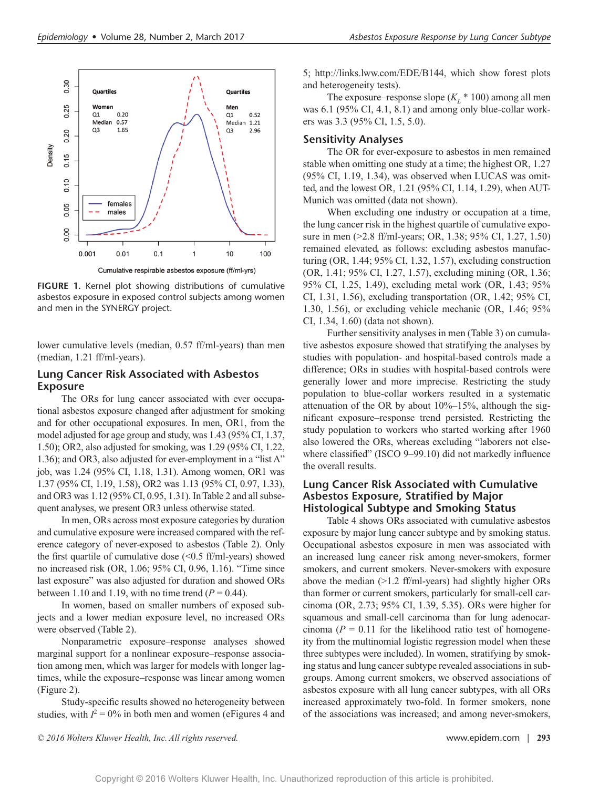

**FIGURE 1.** Kernel plot showing distributions of cumulative asbestos exposure in exposed control subjects among women and men in the SYNERGY project.

lower cumulative levels (median, 0.57 ff/ml-years) than men (median, 1.21 ff/ml-years).

#### **Lung Cancer Risk Associated with Asbestos Exposure**

The ORs for lung cancer associated with ever occupational asbestos exposure changed after adjustment for smoking and for other occupational exposures. In men, OR1, from the model adjusted for age group and study, was 1.43 (95% CI, 1.37, 1.50); OR2, also adjusted for smoking, was 1.29 (95% CI, 1.22, 1.36); and OR3, also adjusted for ever-employment in a "list A" job, was 1.24 (95% CI, 1.18, 1.31). Among women, OR1 was 1.37 (95% CI, 1.19, 1.58), OR2 was 1.13 (95% CI, 0.97, 1.33), and OR3 was 1.12 (95% CI, 0.95, 1.31). In Table 2 and all subsequent analyses, we present OR3 unless otherwise stated.

In men, ORs across most exposure categories by duration and cumulative exposure were increased compared with the reference category of never-exposed to asbestos (Table 2). Only the first quartile of cumulative dose  $( $0.5 \text{ ff/ml-years}$ ) showed$ no increased risk (OR, 1.06; 95% CI, 0.96, 1.16). "Time since last exposure" was also adjusted for duration and showed ORs between 1.10 and 1.19, with no time trend  $(P = 0.44)$ .

In women, based on smaller numbers of exposed subjects and a lower median exposure level, no increased ORs were observed (Table 2).

Nonparametric exposure–response analyses showed marginal support for a nonlinear exposure–response association among men, which was larger for models with longer lagtimes, while the exposure–response was linear among women (Figure 2).

Study-specific results showed no heterogeneity between studies, with  $I^2 = 0\%$  in both men and women (eFigures 4 and 5; [http://links.lww.com/EDE/B144,](http://links.lww.com/EDE/B144) which show forest plots and heterogeneity tests).

The exposure–response slope  $(K<sub>L</sub> * 100)$  among all men was 6.1 (95% CI, 4.1, 8.1) and among only blue-collar workers was 3.3 (95% CI, 1.5, 5.0).

#### **Sensitivity Analyses**

The OR for ever-exposure to asbestos in men remained stable when omitting one study at a time; the highest OR, 1.27 (95% CI, 1.19, 1.34), was observed when LUCAS was omitted, and the lowest OR, 1.21 (95% CI, 1.14, 1.29), when AUT-Munich was omitted (data not shown).

When excluding one industry or occupation at a time, the lung cancer risk in the highest quartile of cumulative exposure in men (>2.8 ff/ml-years; OR, 1.38; 95% CI, 1.27, 1.50) remained elevated, as follows: excluding asbestos manufacturing (OR, 1.44; 95% CI, 1.32, 1.57), excluding construction (OR, 1.41; 95% CI, 1.27, 1.57), excluding mining (OR, 1.36; 95% CI, 1.25, 1.49), excluding metal work (OR, 1.43; 95% CI, 1.31, 1.56), excluding transportation (OR, 1.42; 95% CI, 1.30, 1.56), or excluding vehicle mechanic (OR, 1.46; 95% CI, 1.34, 1.60) (data not shown).

Further sensitivity analyses in men (Table 3) on cumulative asbestos exposure showed that stratifying the analyses by studies with population- and hospital-based controls made a difference; ORs in studies with hospital-based controls were generally lower and more imprecise. Restricting the study population to blue-collar workers resulted in a systematic attenuation of the OR by about  $10\%$ – $15\%$ , although the significant exposure–response trend persisted. Restricting the study population to workers who started working after 1960 also lowered the ORs, whereas excluding "laborers not elsewhere classified" (ISCO 9-99.10) did not markedly influence the overall results.

## **Lung Cancer Risk Associated with Cumulative Asbestos Exposure, Stratified by Major Histological Subtype and Smoking Status**

Table 4 shows ORs associated with cumulative asbestos exposure by major lung cancer subtype and by smoking status. Occupational asbestos exposure in men was associated with an increased lung cancer risk among never-smokers, former smokers, and current smokers. Never-smokers with exposure above the median  $(>1.2 \text{ ff/ml-years})$  had slightly higher ORs than former or current smokers, particularly for small-cell carcinoma (OR, 2.73; 95% CI, 1.39, 5.35). ORs were higher for squamous and small-cell carcinoma than for lung adenocarcinoma ( $P = 0.11$  for the likelihood ratio test of homogeneity from the multinomial logistic regression model when these three subtypes were included). In women, stratifying by smoking status and lung cancer subtype revealed associations in subgroups. Among current smokers, we observed associations of asbestos exposure with all lung cancer subtypes, with all ORs increased approximately two-fold. In former smokers, none of the associations was increased; and among never-smokers,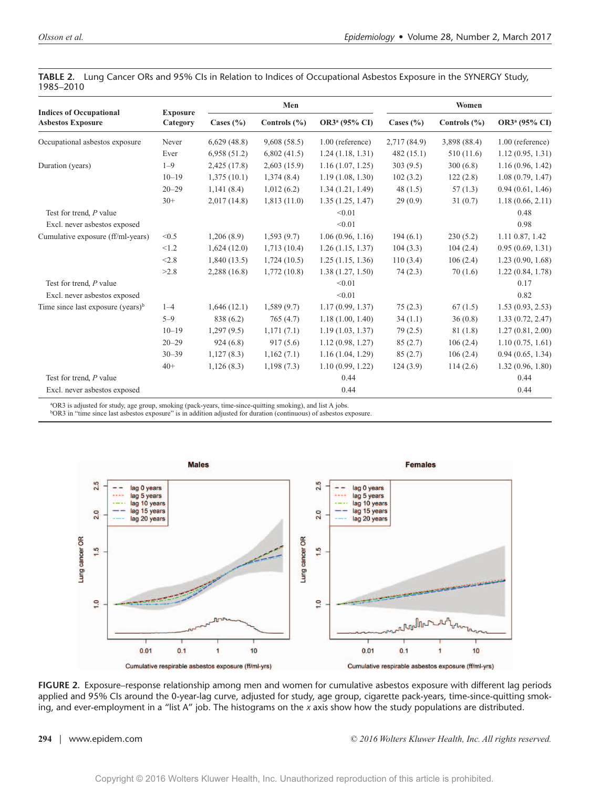|                                                            |                             |               | Men              |                           | Women         |                  |                           |  |
|------------------------------------------------------------|-----------------------------|---------------|------------------|---------------------------|---------------|------------------|---------------------------|--|
| <b>Indices of Occupational</b><br><b>Asbestos Exposure</b> | <b>Exposure</b><br>Category | Cases $(\% )$ | Controls $(\% )$ | OR3 <sup>a</sup> (95% CI) | Cases $(\% )$ | Controls $(\% )$ | OR3 <sup>a</sup> (95% CI) |  |
| Occupational asbestos exposure                             | Never                       | 6,629(48.8)   | 9,608(58.5)      | $1.00$ (reference)        | 2,717 (84.9)  | 3,898 (88.4)     | $1.00$ (reference)        |  |
|                                                            | Ever                        | 6,958(51.2)   | 6,802(41.5)      | 1.24(1.18, 1.31)          | 482(15.1)     | 510 (11.6)       | 1.12(0.95, 1.31)          |  |
| Duration (years)                                           | $1 - 9$                     | 2,425(17.8)   | 2,603(15.9)      | 1.16(1.07, 1.25)          | 303(9.5)      | 300(6.8)         | 1.16(0.96, 1.42)          |  |
|                                                            | $10 - 19$                   | 1,375(10.1)   | 1,374(8.4)       | 1.19(1.08, 1.30)          | 102(3.2)      | 122(2.8)         | 1.08(0.79, 1.47)          |  |
|                                                            | $20 - 29$                   | 1,141(8.4)    | 1,012(6.2)       | 1.34(1.21, 1.49)          | 48(1.5)       | 57(1.3)          | 0.94(0.61, 1.46)          |  |
|                                                            | $30+$                       | 2,017(14.8)   | 1,813(11.0)      | 1.35(1.25, 1.47)          | 29(0.9)       | 31(0.7)          | 1.18(0.66, 2.11)          |  |
| Test for trend, P value                                    |                             |               |                  | < 0.01                    |               |                  | 0.48                      |  |
| Excl. never asbestos exposed                               |                             |               |                  | < 0.01                    |               |                  | 0.98                      |  |
| Cumulative exposure (ff/ml-years)                          | < 0.5                       | 1,206(8.9)    | 1,593(9.7)       | 1.06(0.96, 1.16)          | 194(6.1)      | 230(5.2)         | 1.11 0.87, 1.42           |  |
|                                                            | < 1.2                       | 1,624(12.0)   | 1,713(10.4)      | 1.26(1.15, 1.37)          | 104(3.3)      | 104(2.4)         | 0.95(0.69, 1.31)          |  |
|                                                            | < 2.8                       | 1,840(13.5)   | 1,724(10.5)      | 1.25(1.15, 1.36)          | 110(3.4)      | 106(2.4)         | 1.23(0.90, 1.68)          |  |
|                                                            | >2.8                        | 2,288(16.8)   | 1,772(10.8)      | 1.38(1.27, 1.50)          | 74(2.3)       | 70(1.6)          | 1.22(0.84, 1.78)          |  |
| Test for trend, P value                                    |                             |               |                  | < 0.01                    |               |                  | 0.17                      |  |
| Excl. never asbestos exposed                               |                             |               |                  | < 0.01                    |               |                  | 0.82                      |  |
| Time since last exposure (years) $\frac{b}{b}$             | $1 - 4$                     | 1,646(12.1)   | 1,589(9.7)       | 1.17(0.99, 1.37)          | 75(2.3)       | 67(1.5)          | 1.53(0.93, 2.53)          |  |
|                                                            | $5 - 9$                     | 838 (6.2)     | 765(4.7)         | 1.18(1.00, 1.40)          | 34(1.1)       | 36(0.8)          | 1.33(0.72, 2.47)          |  |
|                                                            | $10 - 19$                   | 1,297(9.5)    | 1,171(7.1)       | 1.19(1.03, 1.37)          | 79(2.5)       | 81 (1.8)         | 1.27(0.81, 2.00)          |  |
|                                                            | $20 - 29$                   | 924(6.8)      | 917(5.6)         | 1.12(0.98, 1.27)          | 85(2.7)       | 106(2.4)         | 1.10(0.75, 1.61)          |  |
|                                                            | $30 - 39$                   | 1,127(8.3)    | 1,162(7.1)       | 1.16(1.04, 1.29)          | 85(2.7)       | 106(2.4)         | 0.94(0.65, 1.34)          |  |
|                                                            | $40+$                       | 1,126(8.3)    | 1,198(7.3)       | 1.10(0.99, 1.22)          | 124(3.9)      | 114(2.6)         | 1.32(0.96, 1.80)          |  |
| Test for trend, P value                                    |                             |               |                  | 0.44                      |               |                  | 0.44                      |  |
| Excl. never asbestos exposed                               |                             |               |                  | 0.44                      |               |                  | 0.44                      |  |

**TABLE 2.** Lung Cancer ORs and 95% CIs in Relation to Indices of Occupational Asbestos Exposure in the SYNERGY Study, 1985–2010

g (pack-years, time-since-quitting smoking), and list A jobs.

b OR3 in "time since last asbestos exposure" is in addition adjusted for duration (continuous) of asbestos exposure.



**FIGURE 2.** Exposure–response relationship among men and women for cumulative asbestos exposure with different lag periods applied and 95% CIs around the 0-year-lag curve, adjusted for study, age group, cigarette pack-years, time-since-quitting smoking, and ever-employment in a "list A" job. The histograms on the *x* axis show how the study populations are distributed.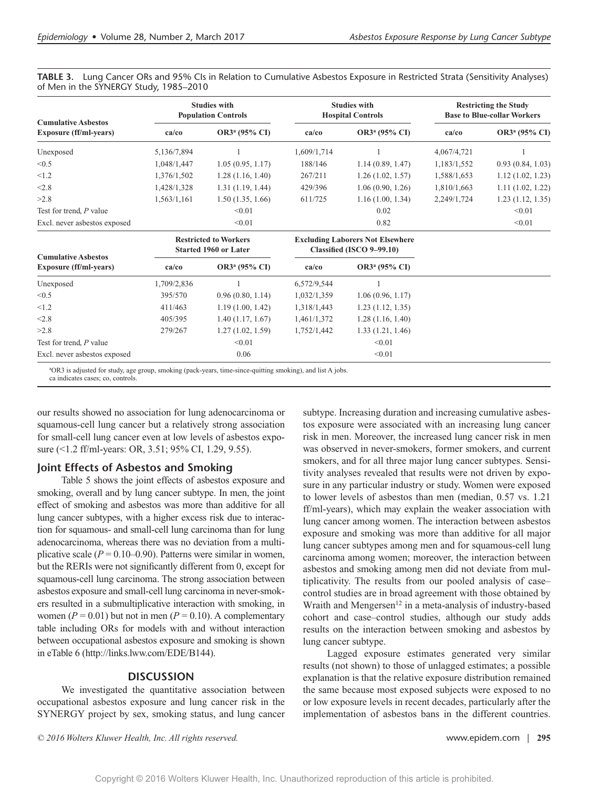|             |                           |                                                                                                                   |                           | <b>Restricting the Study</b><br><b>Base to Blue-collar Workers</b>                                                      |                           |  |
|-------------|---------------------------|-------------------------------------------------------------------------------------------------------------------|---------------------------|-------------------------------------------------------------------------------------------------------------------------|---------------------------|--|
| ca/co       | OR3 <sup>a</sup> (95% CI) | ca/co                                                                                                             | OR3 <sup>a</sup> (95% CI) | ca/co                                                                                                                   | OR3 <sup>a</sup> (95% CI) |  |
| 5,136/7,894 |                           | 1,609/1,714                                                                                                       |                           | 4,067/4,721                                                                                                             |                           |  |
| 1,048/1,447 | 1.05(0.95, 1.17)          | 188/146                                                                                                           | 1.14(0.89, 1.47)          | 1,183/1,552                                                                                                             | 0.93(0.84, 1.03)          |  |
| 1,376/1,502 | 1.28(1.16, 1.40)          | 267/211                                                                                                           | 1.26(1.02, 1.57)          | 1,588/1,653                                                                                                             | 1.12(1.02, 1.23)          |  |
| 1,428/1,328 | 1.31(1.19, 1.44)          | 429/396                                                                                                           | 1.06(0.90, 1.26)          | 1,810/1,663                                                                                                             | 1.11(1.02, 1.22)          |  |
| 1,563/1,161 | 1.50(1.35, 1.66)          | 611/725                                                                                                           | 1.16(1.00, 1.34)          | 2,249/1,724                                                                                                             | 1.23(1.12, 1.35)          |  |
|             | < 0.01                    |                                                                                                                   | 0.02                      |                                                                                                                         | < 0.01                    |  |
|             | < 0.01                    |                                                                                                                   | 0.82                      |                                                                                                                         | < 0.01                    |  |
|             |                           |                                                                                                                   |                           |                                                                                                                         |                           |  |
| $ca$ / $co$ | OR3 <sup>a</sup> (95% CI) | ca/co                                                                                                             | OR3 <sup>a</sup> (95% CI) |                                                                                                                         |                           |  |
| 1,709/2,836 |                           | 6,572/9,544                                                                                                       |                           |                                                                                                                         |                           |  |
| 395/570     | 0.96(0.80, 1.14)          | 1,032/1,359                                                                                                       | 1.06(0.96, 1.17)          |                                                                                                                         |                           |  |
| 411/463     | 1.19(1.00, 1.42)          | 1,318/1,443                                                                                                       | 1.23(1.12, 1.35)          |                                                                                                                         |                           |  |
| 405/395     | 1.40(1.17, 1.67)          | 1,461/1,372                                                                                                       | 1.28(1.16, 1.40)          |                                                                                                                         |                           |  |
| 279/267     | 1.27(1.02, 1.59)          | 1,752/1,442                                                                                                       | 1.33(1.21, 1.46)          |                                                                                                                         |                           |  |
|             | < 0.01                    |                                                                                                                   | < 0.01                    |                                                                                                                         |                           |  |
|             | 0.06                      |                                                                                                                   | < 0.01                    |                                                                                                                         |                           |  |
|             |                           | <b>Studies with</b><br><b>Population Controls</b><br><b>Restricted to Workers</b><br><b>Started 1960 or Later</b> |                           | <b>Studies with</b><br><b>Hospital Controls</b><br><b>Excluding Laborers Not Elsewhere</b><br>Classified (ISCO 9-99.10) |                           |  |

**TABLE 3.** Lung Cancer ORs and 95% CIs in Relation to Cumulative Asbestos Exposure in Restricted Strata (Sensitivity Analyses) of Men in the SYNERGY Study, 1985–2010

OR3 is adjusted for study, age group, smoking (pack-years, time-since-quitting smoking), and list A jobs.

ca indicates cases; co, controls.

our results showed no association for lung adenocarcinoma or squamous-cell lung cancer but a relatively strong association for small-cell lung cancer even at low levels of asbestos exposure (<1.2 ff/ml-years: OR, 3.51; 95% CI, 1.29, 9.55).

### **Joint Effects of Asbestos and Smoking**

Table 5 shows the joint effects of asbestos exposure and smoking, overall and by lung cancer subtype. In men, the joint effect of smoking and asbestos was more than additive for all lung cancer subtypes, with a higher excess risk due to interaction for squamous- and small-cell lung carcinoma than for lung adenocarcinoma, whereas there was no deviation from a multiplicative scale  $(P = 0.10-0.90)$ . Patterns were similar in women, but the RERIs were not significantly different from 0, except for squamous-cell lung carcinoma. The strong association between asbestos exposure and small-cell lung carcinoma in never-smokers resulted in a submultiplicative interaction with smoking, in women ( $P = 0.01$ ) but not in men ( $P = 0.10$ ). A complementary table including ORs for models with and without interaction between occupational asbestos exposure and smoking is shown in eTable 6 [\(http://links.lww.com/EDE/B144\)](http://links.lww.com/EDE/B144).

#### **DISCUSSION**

We investigated the quantitative association between occupational asbestos exposure and lung cancer risk in the SYNERGY project by sex, smoking status, and lung cancer

subtype. Increasing duration and increasing cumulative asbestos exposure were associated with an increasing lung cancer risk in men. Moreover, the increased lung cancer risk in men was observed in never-smokers, former smokers, and current smokers, and for all three major lung cancer subtypes. Sensitivity analyses revealed that results were not driven by exposure in any particular industry or study. Women were exposed to lower levels of asbestos than men (median, 0.57 vs. 1.21 ff/ml-years), which may explain the weaker association with lung cancer among women. The interaction between asbestos exposure and smoking was more than additive for all major lung cancer subtypes among men and for squamous-cell lung carcinoma among women; moreover, the interaction between asbestos and smoking among men did not deviate from multiplicativity. The results from our pooled analysis of case– control studies are in broad agreement with those obtained by Wraith and Mengersen<sup>12</sup> in a meta-analysis of industry-based cohort and case–control studies, although our study adds results on the interaction between smoking and asbestos by lung cancer subtype.

Lagged exposure estimates generated very similar results (not shown) to those of unlagged estimates; a possible explanation is that the relative exposure distribution remained the same because most exposed subjects were exposed to no or low exposure levels in recent decades, particularly after the implementation of asbestos bans in the different countries.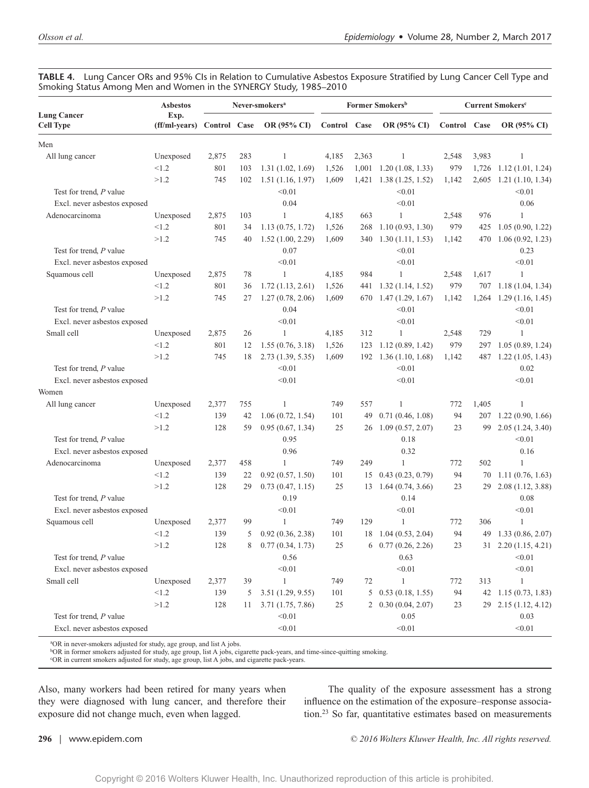|                                        | <b>Asbestos</b>                    | Never-smokers <sup>a</sup> |     |                  |              |       | Former Smokers <sup>b</sup>        | <b>Current Smokers<sup>c</sup></b> |       |                       |
|----------------------------------------|------------------------------------|----------------------------|-----|------------------|--------------|-------|------------------------------------|------------------------------------|-------|-----------------------|
| <b>Lung Cancer</b><br><b>Cell Type</b> | Exp.<br>(ff/ml-years) Control Case |                            |     | OR (95% CI)      | Control Case |       | OR (95% CI)                        | Control Case                       |       | OR (95% CI)           |
| Men                                    |                                    |                            |     |                  |              |       |                                    |                                    |       |                       |
| All lung cancer                        | Unexposed                          | 2,875                      | 283 | 1                | 4,185        | 2,363 | 1                                  | 2,548                              | 3,983 | $\mathbf{1}$          |
|                                        | < 1.2                              | 801                        | 103 | 1.31(1.02, 1.69) | 1,526        | 1,001 | 1.20(1.08, 1.33)                   | 979                                | 1,726 | 1.12(1.01, 1.24)      |
|                                        | >1.2                               | 745                        | 102 | 1.51(1.16, 1.97) | 1,609        | 1,421 | 1.38(1.25, 1.52)                   | 1,142                              | 2,605 | 1.21(1.10, 1.34)      |
| Test for trend, P value                |                                    |                            |     | < 0.01           |              |       | < 0.01                             |                                    |       | < 0.01                |
| Excl. never asbestos exposed           |                                    |                            |     | 0.04             |              |       | < 0.01                             |                                    |       | 0.06                  |
| Adenocarcinoma                         | Unexposed                          | 2,875                      | 103 | 1                | 4,185        | 663   | 1                                  | 2,548                              | 976   | 1                     |
|                                        | < 1.2                              | 801                        | 34  | 1.13(0.75, 1.72) | 1,526        | 268   | 1.10(0.93, 1.30)                   | 979                                | 425   | 1.05(0.90, 1.22)      |
|                                        | >1.2                               | 745                        | 40  | 1.52(1.00, 2.29) | 1,609        |       | 340 1.30 (1.11, 1.53)              | 1,142                              | 470   | 1.06(0.92, 1.23)      |
| Test for trend, P value                |                                    |                            |     | 0.07             |              |       | < 0.01                             |                                    |       | 0.23                  |
| Excl. never asbestos exposed           |                                    |                            |     | < 0.01           |              |       | < 0.01                             |                                    |       | < 0.01                |
| Squamous cell                          | Unexposed                          | 2,875                      | 78  | 1                | 4,185        | 984   | 1                                  | 2,548                              | 1,617 | $\mathbf{1}$          |
|                                        | < 1.2                              | 801                        | 36  | 1.72(1.13, 2.61) | 1,526        |       | 441 1.32 (1.14, 1.52)              | 979                                |       | 707 1.18 (1.04, 1.34) |
|                                        | >1.2                               | 745                        | 27  | 1.27(0.78, 2.06) | 1,609        |       | 670 1.47 (1.29, 1.67)              | 1,142                              | 1,264 | 1.29(1.16, 1.45)      |
| Test for trend, P value                |                                    |                            |     | 0.04             |              |       | < 0.01                             |                                    |       | < 0.01                |
| Excl. never asbestos exposed           |                                    |                            |     | < 0.01           |              |       | < 0.01                             |                                    |       | < 0.01                |
| Small cell                             | Unexposed                          | 2,875                      | 26  | 1                | 4,185        | 312   | 1                                  | 2,548                              | 729   | 1                     |
|                                        | < 1.2                              | 801                        | 12  | 1.55(0.76, 3.18) | 1,526        | 123   | 1.12(0.89, 1.42)                   | 979                                | 297   | 1.05(0.89, 1.24)      |
|                                        | >1.2                               | 745                        | 18  | 2.73(1.39, 5.35) | 1,609        |       | 192 1.36 (1.10, 1.68)              | 1,142                              | 487   | 1.22(1.05, 1.43)      |
| Test for trend, P value                |                                    |                            |     | < 0.01           |              |       | < 0.01                             |                                    |       | 0.02                  |
| Excl. never asbestos exposed           |                                    |                            |     | < 0.01           |              |       | < 0.01                             |                                    |       | < 0.01                |
| Women                                  |                                    |                            |     |                  |              |       |                                    |                                    |       |                       |
| All lung cancer                        | Unexposed                          | 2,377                      | 755 | 1                | 749          | 557   | 1                                  | 772                                | 1,405 | $\mathbf{1}$          |
|                                        | < 1.2                              | 139                        | 42  | 1.06(0.72, 1.54) | 101          | 49    | 0.71(0.46, 1.08)                   | 94                                 | 207   | 1.22(0.90, 1.66)      |
|                                        | >1.2                               | 128                        | 59  | 0.95(0.67, 1.34) | 25           |       | 26 1.09 (0.57, 2.07)               | 23                                 | 99    | 2.05(1.24, 3.40)      |
| Test for trend, P value                |                                    |                            |     | 0.95             |              |       | 0.18                               |                                    |       | < 0.01                |
| Excl. never asbestos exposed           |                                    |                            |     | 0.96             |              |       | 0.32                               |                                    |       | 0.16                  |
| Adenocarcinoma                         | Unexposed                          | 2,377                      | 458 | $\mathbf{1}$     | 749          | 249   | $\mathbf{1}$                       | 772                                | 502   | $\mathbf{1}$          |
|                                        | < 1.2                              | 139                        | 22  | 0.92(0.57, 1.50) | 101          |       | $15 \quad 0.43 \ (0.23, 0.79)$     | 94                                 |       | 70 1.11 (0.76, 1.63)  |
|                                        | >1.2                               | 128                        | 29  | 0.73(0.47, 1.15) | 25           |       | $13 \quad 1.64 \quad (0.74, 3.66)$ | 23                                 | 29    | 2.08(1.12, 3.88)      |
| Test for trend, P value                |                                    |                            |     | 0.19             |              |       | 0.14                               |                                    |       | 0.08                  |
| Excl. never asbestos exposed           |                                    |                            |     | < 0.01           |              |       | < 0.01                             |                                    |       | < 0.01                |
| Squamous cell                          | Unexposed                          | 2,377                      | 99  | 1                | 749          | 129   | 1                                  | 772                                | 306   | 1                     |
|                                        | < 1.2                              | 139                        | 5   | 0.92(0.36, 2.38) | 101          |       | 18 1.04 (0.53, 2.04)               | 94                                 | 49    | 1.33(0.86, 2.07)      |
|                                        | >1.2                               | 128                        | 8   | 0.77(0.34, 1.73) | 25           |       | $6\quad 0.77\ (0.26, 2.26)$        | 23                                 |       | 31 2.20 (1.15, 4.21)  |
| Test for trend, P value                |                                    |                            |     | 0.56             |              |       | 0.63                               |                                    |       | < 0.01                |
| Excl. never asbestos exposed           |                                    |                            |     | < 0.01           |              |       | < 0.01                             |                                    |       | < 0.01                |
| Small cell                             | Unexposed                          | 2,377                      | 39  | $\mathbf{1}$     | 749          | 72    | $\mathbf{1}$                       | 772                                | 313   | $\mathbf{1}$          |
|                                        | < 1.2                              | 139                        | 5   | 3.51(1.29, 9.55) | 101          |       | $5$ 0.53 (0.18, 1.55)              | 94                                 |       | 42 1.15 (0.73, 1.83)  |
|                                        | >1.2                               | 128                        | 11  | 3.71(1.75, 7.86) | 25           |       | $2\quad 0.30\ (0.04, 2.07)$        | 23                                 |       | 29 2.15 (1.12, 4.12)  |
| Test for trend, P value                |                                    |                            |     | < 0.01           |              |       | 0.05                               |                                    |       | 0.03                  |
| Excl. never asbestos exposed           |                                    |                            |     | $<0.01$          |              |       | < 0.01                             |                                    |       | < 0.01                |
|                                        |                                    |                            |     |                  |              |       |                                    |                                    |       |                       |

**TABLE 4.** Lung Cancer ORs and 95% CIs in Relation to Cumulative Asbestos Exposure Stratified by Lung Cancer Cell Type and Smoking Status Among Men and Women in the SYNERGY Study, 1985–2010

a OR in never-smokers adjusted for study, age group, and list A jobs.

b OR in former smokers adjusted for study, age group, list A jobs, cigarette pack-years, and time-since-quitting smoking.

c OR in current smokers adjusted for study, age group, list A jobs, and cigarette pack-years.

Also, many workers had been retired for many years when they were diagnosed with lung cancer, and therefore their exposure did not change much, even when lagged.

The quality of the exposure assessment has a strong influence on the estimation of the exposure–response association.23 So far, quantitative estimates based on measurements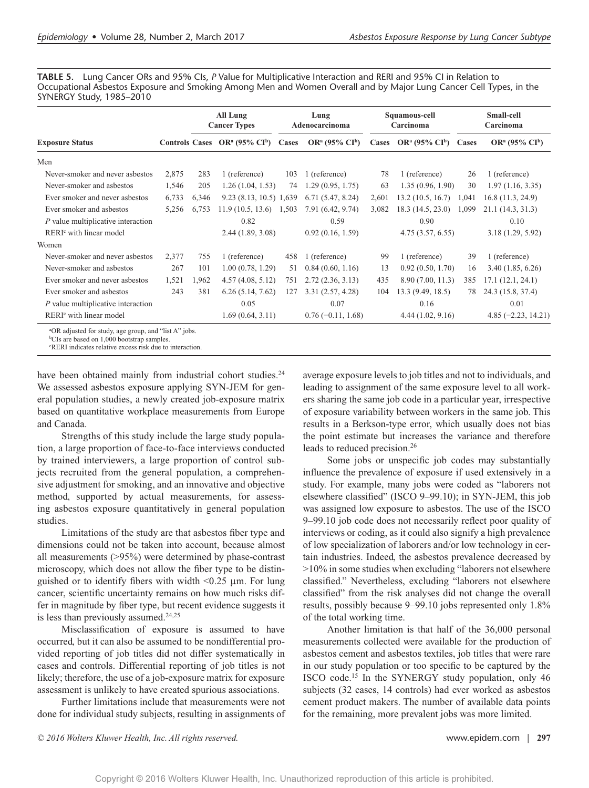**TABLE 5.** Lung Cancer ORs and 95% CIs, *P* Value for Multiplicative Interaction and RERI and 95% CI in Relation to Occupational Asbestos Exposure and Smoking Among Men and Women Overall and by Major Lung Cancer Cell Types, in the SYNERGY Study, 1985–2010

| 283<br>205 | Controls Cases $OR^a (95\% CI^b)$<br>1 (reference)                         | Cases<br>103 | $OR^a (95\% CI^b)$                                                                                                                   | Cases | $OR^a (95\% \text{ CI}^b)$ | Cases | $OR^a (95\% CI^b)$                                       |  |
|------------|----------------------------------------------------------------------------|--------------|--------------------------------------------------------------------------------------------------------------------------------------|-------|----------------------------|-------|----------------------------------------------------------|--|
|            |                                                                            |              |                                                                                                                                      |       |                            |       |                                                          |  |
|            |                                                                            |              |                                                                                                                                      |       |                            |       |                                                          |  |
|            |                                                                            |              | 1 (reference)                                                                                                                        | 78    | 1 (reference)              | 26    | 1 (reference)                                            |  |
|            | 1.26(1.04, 1.53)                                                           | 74           | 1.29(0.95, 1.75)                                                                                                                     | 63    | 1.35(0.96, 1.90)           | 30    | 1.97(1.16, 3.35)                                         |  |
|            |                                                                            |              | 6.71(5.47, 8.24)                                                                                                                     | 2,601 | 13.2(10.5, 16.7)           | 1,041 | 16.8(11.3, 24.9)                                         |  |
| 6,753      | 11.9(10.5, 13.6)                                                           |              | 7.91 (6.42, 9.74)                                                                                                                    | 3,082 | 18.3 (14.5, 23.0)          | 1,099 | 21.1(14.3, 31.3)                                         |  |
|            | 0.82                                                                       |              | 0.59                                                                                                                                 |       | 0.90                       |       | 0.10                                                     |  |
|            |                                                                            |              | 0.92(0.16, 1.59)                                                                                                                     |       |                            |       | 3.18 (1.29, 5.92)                                        |  |
|            |                                                                            |              |                                                                                                                                      |       |                            |       |                                                          |  |
| 755        | 1 (reference)                                                              | 458          | 1 (reference)                                                                                                                        | 99    | 1 (reference)              | 39    | 1 (reference)                                            |  |
| 101        |                                                                            | 51           | 0.84(0.60, 1.16)                                                                                                                     | 13    |                            | 16    | 3.40(1.85, 6.26)                                         |  |
| 1,962      |                                                                            | 751          | 2.72(2.36, 3.13)                                                                                                                     | 435   | 8.90 (7.00, 11.3)          | 385   | 17.1(12.1, 24.1)                                         |  |
| 381        |                                                                            | 127          | 3.31(2.57, 4.28)                                                                                                                     | 104   | 13.3 (9.49, 18.5)          | 78    | 24.3 (15.8, 37.4)                                        |  |
|            | 0.05                                                                       |              | 0.07                                                                                                                                 |       | 0.16                       |       | 0.01                                                     |  |
|            |                                                                            |              | $0.76(-0.11, 1.68)$                                                                                                                  |       |                            |       | $4.85 (-2.23, 14.21)$                                    |  |
|            | 6,346<br><sup>a</sup> OR adjusted for study, age group, and "list A" jobs. |              | 9.23 (8.13, 10.5) 1,639<br>1,503<br>2.44(1.89, 3.08)<br>1.00(0.78, 1.29)<br>4.57(4.08, 5.12)<br>6.26(5.14, 7.62)<br>1.69(0.64, 3.11) |       |                            |       | 4.75(3.57, 6.55)<br>0.92(0.50, 1.70)<br>4.44(1.02, 9.16) |  |

b CIs are based on 1,000 bootstrap samples.

c RERI indicates relative excess risk due to interaction.

have been obtained mainly from industrial cohort studies.<sup>24</sup> We assessed asbestos exposure applying SYN-JEM for general population studies, a newly created job-exposure matrix based on quantitative workplace measurements from Europe and Canada.

Strengths of this study include the large study population, a large proportion of face-to-face interviews conducted by trained interviewers, a large proportion of control subjects recruited from the general population, a comprehensive adjustment for smoking, and an innovative and objective method, supported by actual measurements, for assessing asbestos exposure quantitatively in general population studies.

Limitations of the study are that asbestos fiber type and dimensions could not be taken into account, because almost all measurements (>95%) were determined by phase-contrast microscopy, which does not allow the fiber type to be distinguished or to identify fibers with width <0.25 μm. For lung cancer, scientific uncertainty remains on how much risks differ in magnitude by fiber type, but recent evidence suggests it is less than previously assumed.<sup>24,25</sup>

Misclassification of exposure is assumed to have occurred, but it can also be assumed to be nondifferential provided reporting of job titles did not differ systematically in cases and controls. Differential reporting of job titles is not likely; therefore, the use of a job-exposure matrix for exposure assessment is unlikely to have created spurious associations.

Further limitations include that measurements were not done for individual study subjects, resulting in assignments of average exposure levels to job titles and not to individuals, and leading to assignment of the same exposure level to all workers sharing the same job code in a particular year, irrespective of exposure variability between workers in the same job. This results in a Berkson-type error, which usually does not bias the point estimate but increases the variance and therefore leads to reduced precision.<sup>26</sup>

Some jobs or unspecific job codes may substantially influence the prevalence of exposure if used extensively in a study. For example, many jobs were coded as "laborers not elsewhere classified" (ISCO 9–99.10); in SYN-JEM, this job was assigned low exposure to asbestos. The use of the ISCO 9–99.10 job code does not necessarily reflect poor quality of interviews or coding, as it could also signify a high prevalence of low specialization of laborers and/or low technology in certain industries. Indeed, the asbestos prevalence decreased by >10% in some studies when excluding "laborers not elsewhere classified." Nevertheless, excluding "laborers not elsewhere classified" from the risk analyses did not change the overall results, possibly because 9–99.10 jobs represented only 1.8% of the total working time.

Another limitation is that half of the 36,000 personal measurements collected were available for the production of asbestos cement and asbestos textiles, job titles that were rare in our study population or too specific to be captured by the ISCO code.15 In the SYNERGY study population, only 46 subjects (32 cases, 14 controls) had ever worked as asbestos cement product makers. The number of available data points for the remaining, more prevalent jobs was more limited.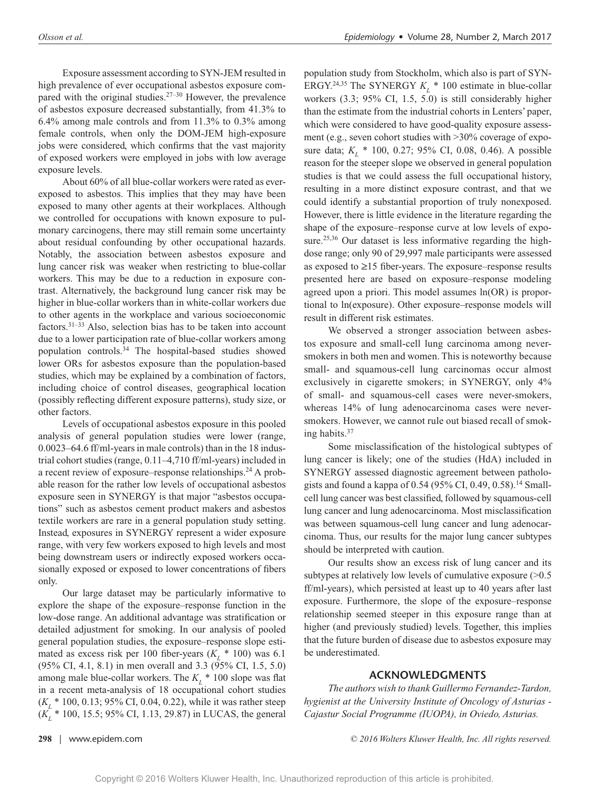Exposure assessment according to SYN-JEM resulted in high prevalence of ever occupational asbestos exposure compared with the original studies.<sup>27–30</sup> However, the prevalence of asbestos exposure decreased substantially, from 41.3% to 6.4% among male controls and from 11.3% to 0.3% among female controls, when only the DOM-JEM high-exposure jobs were considered, which confirms that the vast majority of exposed workers were employed in jobs with low average exposure levels.

About 60% of all blue-collar workers were rated as everexposed to asbestos. This implies that they may have been exposed to many other agents at their workplaces. Although we controlled for occupations with known exposure to pulmonary carcinogens, there may still remain some uncertainty about residual confounding by other occupational hazards. Notably, the association between asbestos exposure and lung cancer risk was weaker when restricting to blue-collar workers. This may be due to a reduction in exposure contrast. Alternatively, the background lung cancer risk may be higher in blue-collar workers than in white-collar workers due to other agents in the workplace and various socioeconomic factors.31–33 Also, selection bias has to be taken into account due to a lower participation rate of blue-collar workers among population controls.34 The hospital-based studies showed lower ORs for asbestos exposure than the population-based studies, which may be explained by a combination of factors, including choice of control diseases, geographical location (possibly reflecting different exposure patterns), study size, or other factors.

Levels of occupational asbestos exposure in this pooled analysis of general population studies were lower (range, 0.0023–64.6 ff/ml-years in male controls) than in the 18 industrial cohort studies (range, 0.11–4,710 ff/ml-years) included in a recent review of exposure–response relationships.24 A probable reason for the rather low levels of occupational asbestos exposure seen in SYNERGY is that major "asbestos occupations" such as asbestos cement product makers and asbestos textile workers are rare in a general population study setting. Instead, exposures in SYNERGY represent a wider exposure range, with very few workers exposed to high levels and most being downstream users or indirectly exposed workers occasionally exposed or exposed to lower concentrations of fibers only.

Our large dataset may be particularly informative to explore the shape of the exposure–response function in the low-dose range. An additional advantage was stratification or detailed adjustment for smoking. In our analysis of pooled general population studies, the exposure–response slope estimated as excess risk per 100 fiber-years  $(K_L * 100)$  was 6.1 (95% CI, 4.1, 8.1) in men overall and 3.3 (95% CI, 1.5, 5.0) among male blue-collar workers. The  $K_L^*$  100 slope was flat in a recent meta-analysis of 18 occupational cohort studies (*KL* \* 100, 0.13; 95% CI, 0.04, 0.22), while it was rather steep (*K<sub>L</sub>* \* 100, 15.5; 95% CI, 1.13, 29.87) in LUCAS, the general

population study from Stockholm, which also is part of SYN-ERGY.<sup>24,35</sup> The SYNERGY  $K_L$  \* 100 estimate in blue-collar workers (3.3; 95% CI, 1.5, 5.0) is still considerably higher than the estimate from the industrial cohorts in Lenters' paper, which were considered to have good-quality exposure assessment (e.g., seven cohort studies with >30% coverage of exposure data;  $K_L$  \* 100, 0.27; 95% CI, 0.08, 0.46). A possible reason for the steeper slope we observed in general population studies is that we could assess the full occupational history, resulting in a more distinct exposure contrast, and that we could identify a substantial proportion of truly nonexposed. However, there is little evidence in the literature regarding the shape of the exposure–response curve at low levels of exposure.<sup>25,36</sup> Our dataset is less informative regarding the highdose range; only 90 of 29,997 male participants were assessed as exposed to ≥15 fiber-years. The exposure–response results presented here are based on exposure–response modeling agreed upon a priori. This model assumes ln(OR) is proportional to ln(exposure). Other exposure–response models will result in different risk estimates.

We observed a stronger association between asbestos exposure and small-cell lung carcinoma among neversmokers in both men and women. This is noteworthy because small- and squamous-cell lung carcinomas occur almost exclusively in cigarette smokers; in SYNERGY, only 4% of small- and squamous-cell cases were never-smokers, whereas 14% of lung adenocarcinoma cases were neversmokers. However, we cannot rule out biased recall of smoking habits.37

Some misclassification of the histological subtypes of lung cancer is likely; one of the studies (HdA) included in SYNERGY assessed diagnostic agreement between pathologists and found a kappa of 0.54 (95% CI, 0.49, 0.58).<sup>14</sup> Smallcell lung cancer was best classified, followed by squamous-cell lung cancer and lung adenocarcinoma. Most misclassification was between squamous-cell lung cancer and lung adenocarcinoma. Thus, our results for the major lung cancer subtypes should be interpreted with caution.

Our results show an excess risk of lung cancer and its subtypes at relatively low levels of cumulative exposure ( $>0.5$ ) ff/ml-years), which persisted at least up to 40 years after last exposure. Furthermore, the slope of the exposure–response relationship seemed steeper in this exposure range than at higher (and previously studied) levels. Together, this implies that the future burden of disease due to asbestos exposure may be underestimated.

### **ACKNOWLEDGMENTS**

*The authors wish to thank Guillermo Fernandez-Tardon, hygienist at the University Institute of Oncology of Asturias - Cajastur Social Programme (IUOPA), in Oviedo, Asturias.*